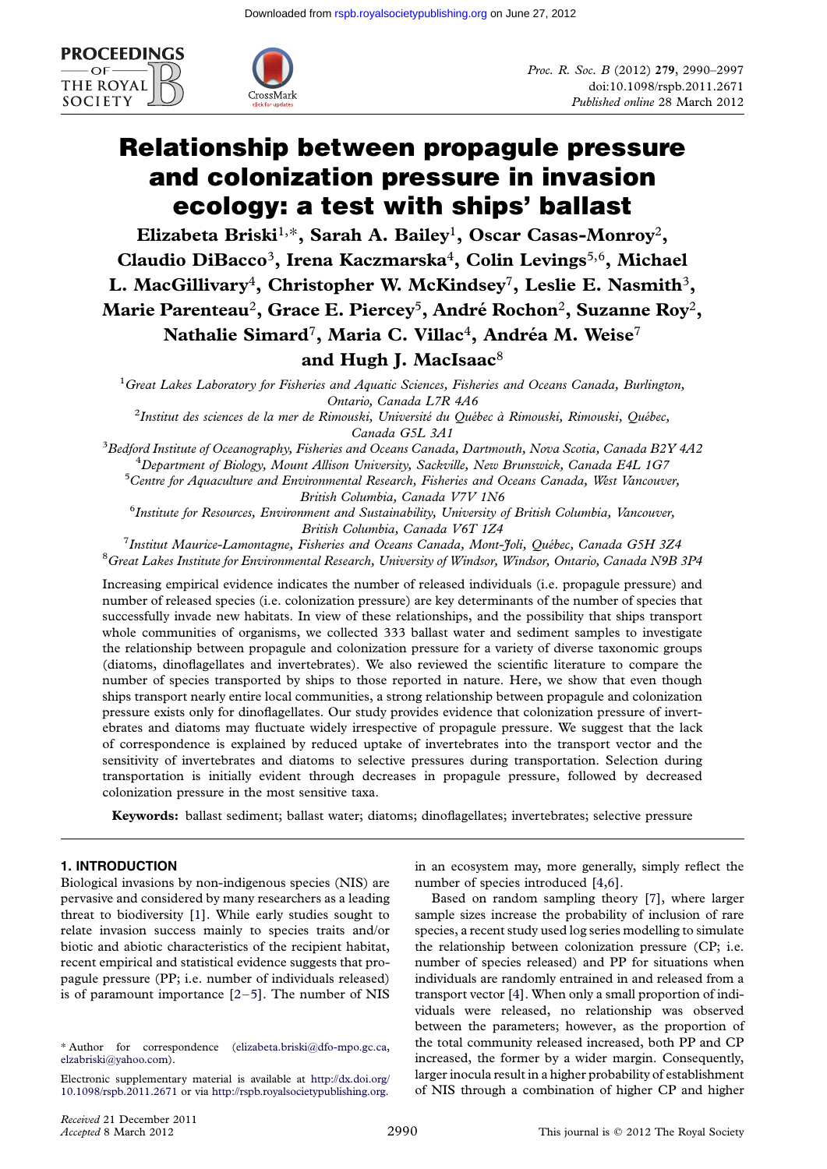



# Relationship between propagule pressure and colonization pressure in invasion ecology: a test with ships' ballast

Elizabeta Briski $^{1,\ast},$  Sarah A. Bailey $^{1},$  Oscar Casas-Monroy $^{2},$ Claudio DiBacco<sup>3</sup>, Irena Kaczmarska<sup>4</sup>, Colin Levings<sup>5,6</sup>, Michael L. MacGillivary ${}^4$ , Christopher W. McKindsey ${}^7$ , Leslie E. Nasmith ${}^3,$ Marie Parenteau $^2$ , Grace E. Piercey $^5$ , André Rochon $^2$ , Suzanne Roy $^2$ , Nathalie Simard<sup>7</sup>, Maria C. Villac<sup>4</sup>, Andréa M. Weise<sup>7</sup>

# and Hugh J. MacIsaac<sup>8</sup>

 ${}^{1}$ Great Lakes Laboratory for Fisheries and Aquatic Sciences, Fisheries and Oceans Canada, Burlington, Ontario, Canada L7R 4A6<br><sup>2</sup>Institut des sciences de la mer de Rimouski, Université du Québec à Rimouski, Rimouski, Québec,

Canada G5L 3A1<br><sup>3</sup> Bedford Institute of Oceanography, Fisheries and Oceans Canade

Bedford Institute of Oceanography, Fisheries and Oceans Canada, Dartmouth, Nova Scotia, Canada B2Y 4A2<br><sup>4</sup> Department of Biology, Mount Allison University, Sashville, New Pruncyjsk, Canada E41, 1G7 <sup>4</sup>Department of Biology, Mount Allison University, Sackville, New Brunswick, Canada E4L 1G7

 $5$ Centre for Aquaculture and Environmental Research, Fisheries and Oceans Canada, West Vancouver,

British Columbia, Canada V7V 1N6<br><sup>6</sup>Institute for Resources, Environment and Sustainability, University of British Columbia, Vancouver, British Columbia, Canada V6T 1Z4<br>Institut Mayrice Lawontagne, Fisheries and Oceans Canada, Mont

Institut Maurice-Lamontagne, Fisheries and Oceans Canada, Mont-Joli, Québec, Canada G5H 3Z4<sup>8</sup> Creat Labes Institute for Fregion mental Bessarsh Linianain of Windson, Windson, Ontario, Canada NOB <sup>8</sup>Great Lakes Institute for Environmental Research, University of Windsor, Windsor, Ontario, Canada N9B 3P4

Increasing empirical evidence indicates the number of released individuals (i.e. propagule pressure) and number of released species (i.e. colonization pressure) are key determinants of the number of species that successfully invade new habitats. In view of these relationships, and the possibility that ships transport whole communities of organisms, we collected 333 ballast water and sediment samples to investigate the relationship between propagule and colonization pressure for a variety of diverse taxonomic groups (diatoms, dinoflagellates and invertebrates). We also reviewed the scientific literature to compare the number of species transported by ships to those reported in nature. Here, we show that even though ships transport nearly entire local communities, a strong relationship between propagule and colonization pressure exists only for dinoflagellates. Our study provides evidence that colonization pressure of invertebrates and diatoms may fluctuate widely irrespective of propagule pressure. We suggest that the lack of correspondence is explained by reduced uptake of invertebrates into the transport vector and the sensitivity of invertebrates and diatoms to selective pressures during transportation. Selection during transportation is initially evident through decreases in propagule pressure, followed by decreased colonization pressure in the most sensitive taxa.

Keywords: ballast sediment; ballast water; diatoms; dinoflagellates; invertebrates; selective pressure

# 1. INTRODUCTION

Biological invasions by non-indigenous species (NIS) are pervasive and considered by many researchers as a leading threat to biodiversity [[1](#page-6-0)]. While early studies sought to relate invasion success mainly to species traits and/or biotic and abiotic characteristics of the recipient habitat, recent empirical and statistical evidence suggests that propagule pressure (PP; i.e. number of individuals released) is of paramount importance  $[2-5]$  $[2-5]$  $[2-5]$ . The number of NIS

in an ecosystem may, more generally, simply reflect the number of species introduced [\[4,6\]](#page-6-0).

Based on random sampling theory [\[7\]](#page-6-0), where larger sample sizes increase the probability of inclusion of rare species, a recent study used log series modelling to simulate the relationship between colonization pressure (CP; i.e. number of species released) and PP for situations when individuals are randomly entrained in and released from a transport vector [\[4](#page-6-0)]. When only a small proportion of individuals were released, no relationship was observed between the parameters; however, as the proportion of the total community released increased, both PP and CP increased, the former by a wider margin. Consequently, larger inocula result in a higher probability of establishment of NIS through a combination of higher CP and higher

<sup>\*</sup> Author for correspondence ([elizabeta.briski@dfo-mpo.gc.ca](mailto:elizabeta.briski@dfo-mpo.gc.ca), [elzabriski@yahoo.com\)](mailto:elzabriski@yahoo.com).

Electronic supplementary material is available at [http://dx.doi.org/](http://dx.doi.org/10.1098/rspb.2011.2671) [10.1098/rspb.2011.2671](http://dx.doi.org/10.1098/rspb.2011.2671) or via [http://rspb.royalsocietypublishing.org.](http://rspb.royalsocietypublishing.org)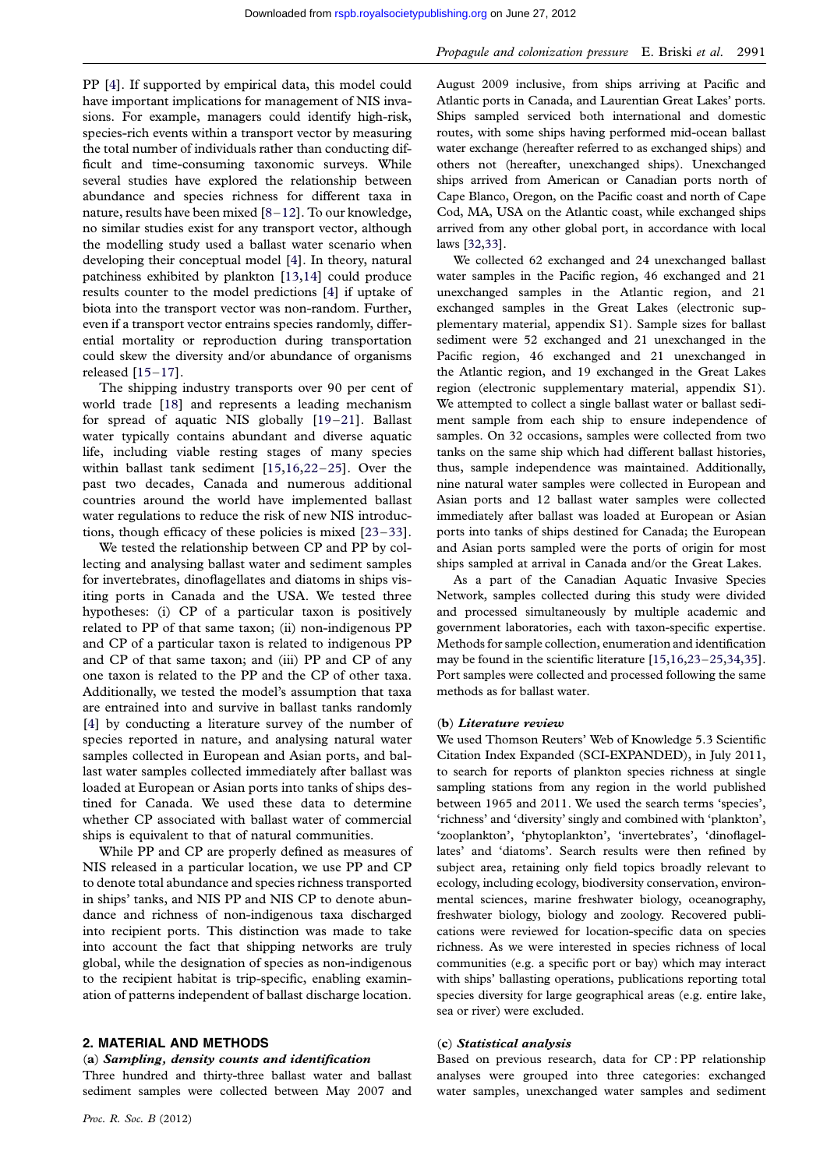PP [\[4\]](#page-6-0). If supported by empirical data, this model could have important implications for management of NIS invasions. For example, managers could identify high-risk, species-rich events within a transport vector by measuring the total number of individuals rather than conducting difficult and time-consuming taxonomic surveys. While several studies have explored the relationship between abundance and species richness for different taxa in nature, results have been mixed [[8](#page-6-0)–[12](#page-6-0)]. To our knowledge, no similar studies exist for any transport vector, although the modelling study used a ballast water scenario when developing their conceptual model [\[4](#page-6-0)]. In theory, natural patchiness exhibited by plankton [\[13,14\]](#page-6-0) could produce results counter to the model predictions [[4\]](#page-6-0) if uptake of biota into the transport vector was non-random. Further, even if a transport vector entrains species randomly, differential mortality or reproduction during transportation could skew the diversity and/or abundance of organisms released [[15](#page-6-0)–[17\]](#page-6-0).

The shipping industry transports over 90 per cent of world trade [\[18\]](#page-6-0) and represents a leading mechanism for spread of aquatic NIS globally [\[19](#page-6-0)–[21](#page-6-0)]. Ballast water typically contains abundant and diverse aquatic life, including viable resting stages of many species within ballast tank sediment [\[15,16,22](#page-6-0)–[25](#page-6-0)]. Over the past two decades, Canada and numerous additional countries around the world have implemented ballast water regulations to reduce the risk of new NIS introductions, though efficacy of these policies is mixed [[23](#page-6-0)–[33](#page-7-0)].

We tested the relationship between CP and PP by collecting and analysing ballast water and sediment samples for invertebrates, dinoflagellates and diatoms in ships visiting ports in Canada and the USA. We tested three hypotheses: (i) CP of a particular taxon is positively related to PP of that same taxon; (ii) non-indigenous PP and CP of a particular taxon is related to indigenous PP and CP of that same taxon; and (iii) PP and CP of any one taxon is related to the PP and the CP of other taxa. Additionally, we tested the model's assumption that taxa are entrained into and survive in ballast tanks randomly [\[4](#page-6-0)] by conducting a literature survey of the number of species reported in nature, and analysing natural water samples collected in European and Asian ports, and ballast water samples collected immediately after ballast was loaded at European or Asian ports into tanks of ships destined for Canada. We used these data to determine whether CP associated with ballast water of commercial ships is equivalent to that of natural communities.

While PP and CP are properly defined as measures of NIS released in a particular location, we use PP and CP to denote total abundance and species richness transported in ships' tanks, and NIS PP and NIS CP to denote abundance and richness of non-indigenous taxa discharged into recipient ports. This distinction was made to take into account the fact that shipping networks are truly global, while the designation of species as non-indigenous to the recipient habitat is trip-specific, enabling examination of patterns independent of ballast discharge location.

#### 2. MATERIAL AND METHODS

#### (a) Sampling, density counts and identification

Three hundred and thirty-three ballast water and ballast sediment samples were collected between May 2007 and August 2009 inclusive, from ships arriving at Pacific and Atlantic ports in Canada, and Laurentian Great Lakes' ports. Ships sampled serviced both international and domestic routes, with some ships having performed mid-ocean ballast water exchange (hereafter referred to as exchanged ships) and others not (hereafter, unexchanged ships). Unexchanged ships arrived from American or Canadian ports north of Cape Blanco, Oregon, on the Pacific coast and north of Cape Cod, MA, USA on the Atlantic coast, while exchanged ships arrived from any other global port, in accordance with local laws [[32,33\]](#page-7-0).

We collected 62 exchanged and 24 unexchanged ballast water samples in the Pacific region, 46 exchanged and 21 unexchanged samples in the Atlantic region, and 21 exchanged samples in the Great Lakes (electronic supplementary material, appendix S1). Sample sizes for ballast sediment were 52 exchanged and 21 unexchanged in the Pacific region, 46 exchanged and 21 unexchanged in the Atlantic region, and 19 exchanged in the Great Lakes region (electronic supplementary material, appendix S1). We attempted to collect a single ballast water or ballast sediment sample from each ship to ensure independence of samples. On 32 occasions, samples were collected from two tanks on the same ship which had different ballast histories, thus, sample independence was maintained. Additionally, nine natural water samples were collected in European and Asian ports and 12 ballast water samples were collected immediately after ballast was loaded at European or Asian ports into tanks of ships destined for Canada; the European and Asian ports sampled were the ports of origin for most ships sampled at arrival in Canada and/or the Great Lakes.

As a part of the Canadian Aquatic Invasive Species Network, samples collected during this study were divided and processed simultaneously by multiple academic and government laboratories, each with taxon-specific expertise. Methods for sample collection, enumeration and identification may be found in the scientific literature [\[15,16](#page-6-0),[23](#page-6-0)–[25](#page-6-0)[,34](#page-7-0),[35\]](#page-7-0). Port samples were collected and processed following the same methods as for ballast water.

#### (b) Literature review

We used Thomson Reuters' Web of Knowledge 5.3 Scientific Citation Index Expanded (SCI-EXPANDED), in July 2011, to search for reports of plankton species richness at single sampling stations from any region in the world published between 1965 and 2011. We used the search terms 'species', 'richness' and 'diversity' singly and combined with 'plankton', 'zooplankton', 'phytoplankton', 'invertebrates', 'dinoflagellates' and 'diatoms'. Search results were then refined by subject area, retaining only field topics broadly relevant to ecology, including ecology, biodiversity conservation, environmental sciences, marine freshwater biology, oceanography, freshwater biology, biology and zoology. Recovered publications were reviewed for location-specific data on species richness. As we were interested in species richness of local communities (e.g. a specific port or bay) which may interact with ships' ballasting operations, publications reporting total species diversity for large geographical areas (e.g. entire lake, sea or river) were excluded.

### (c) Statistical analysis

Based on previous research, data for CP : PP relationship analyses were grouped into three categories: exchanged water samples, unexchanged water samples and sediment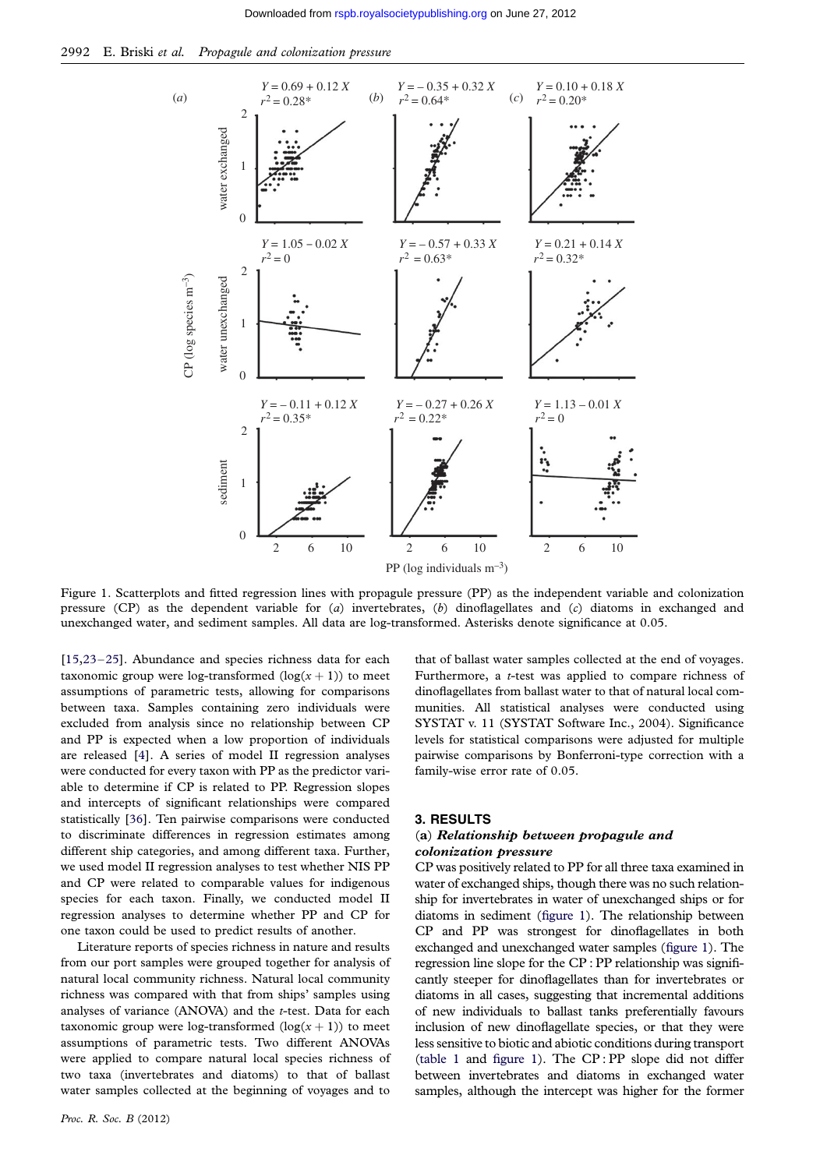<span id="page-2-0"></span>



Figure 1. Scatterplots and fitted regression lines with propagule pressure (PP) as the independent variable and colonization pressure (CP) as the dependent variable for (a) invertebrates, (b) dinoflagellates and (c) diatoms in exchanged and unexchanged water, and sediment samples. All data are log-transformed. Asterisks denote significance at 0.05.

[\[15](#page-6-0),[23](#page-6-0)–[25\]](#page-6-0). Abundance and species richness data for each taxonomic group were log-transformed  $(log(x + 1))$  to meet assumptions of parametric tests, allowing for comparisons between taxa. Samples containing zero individuals were excluded from analysis since no relationship between CP and PP is expected when a low proportion of individuals are released [[4\]](#page-6-0). A series of model II regression analyses were conducted for every taxon with PP as the predictor variable to determine if CP is related to PP. Regression slopes and intercepts of significant relationships were compared statistically [\[36](#page-7-0)]. Ten pairwise comparisons were conducted to discriminate differences in regression estimates among different ship categories, and among different taxa. Further, we used model II regression analyses to test whether NIS PP and CP were related to comparable values for indigenous species for each taxon. Finally, we conducted model II regression analyses to determine whether PP and CP for one taxon could be used to predict results of another.

Literature reports of species richness in nature and results from our port samples were grouped together for analysis of natural local community richness. Natural local community richness was compared with that from ships' samples using analyses of variance (ANOVA) and the t-test. Data for each taxonomic group were log-transformed  $(\log(x + 1))$  to meet assumptions of parametric tests. Two different ANOVAs were applied to compare natural local species richness of two taxa (invertebrates and diatoms) to that of ballast water samples collected at the beginning of voyages and to

that of ballast water samples collected at the end of voyages. Furthermore, a t-test was applied to compare richness of dinoflagellates from ballast water to that of natural local communities. All statistical analyses were conducted using SYSTAT v. 11 (SYSTAT Software Inc., 2004). Significance levels for statistical comparisons were adjusted for multiple pairwise comparisons by Bonferroni-type correction with a family-wise error rate of 0.05.

#### 3. RESULTS

#### (a) Relationship between propagule and colonization pressure

CP was positively related to PP for all three taxa examined in water of exchanged ships, though there was no such relationship for invertebrates in water of unexchanged ships or for diatoms in sediment (figure 1). The relationship between CP and PP was strongest for dinoflagellates in both exchanged and unexchanged water samples (figure 1). The regression line slope for the CP : PP relationship was significantly steeper for dinoflagellates than for invertebrates or diatoms in all cases, suggesting that incremental additions of new individuals to ballast tanks preferentially favours inclusion of new dinoflagellate species, or that they were less sensitive to biotic and abiotic conditions during transport [\(table 1](#page-3-0) and figure 1). The CP : PP slope did not differ between invertebrates and diatoms in exchanged water samples, although the intercept was higher for the former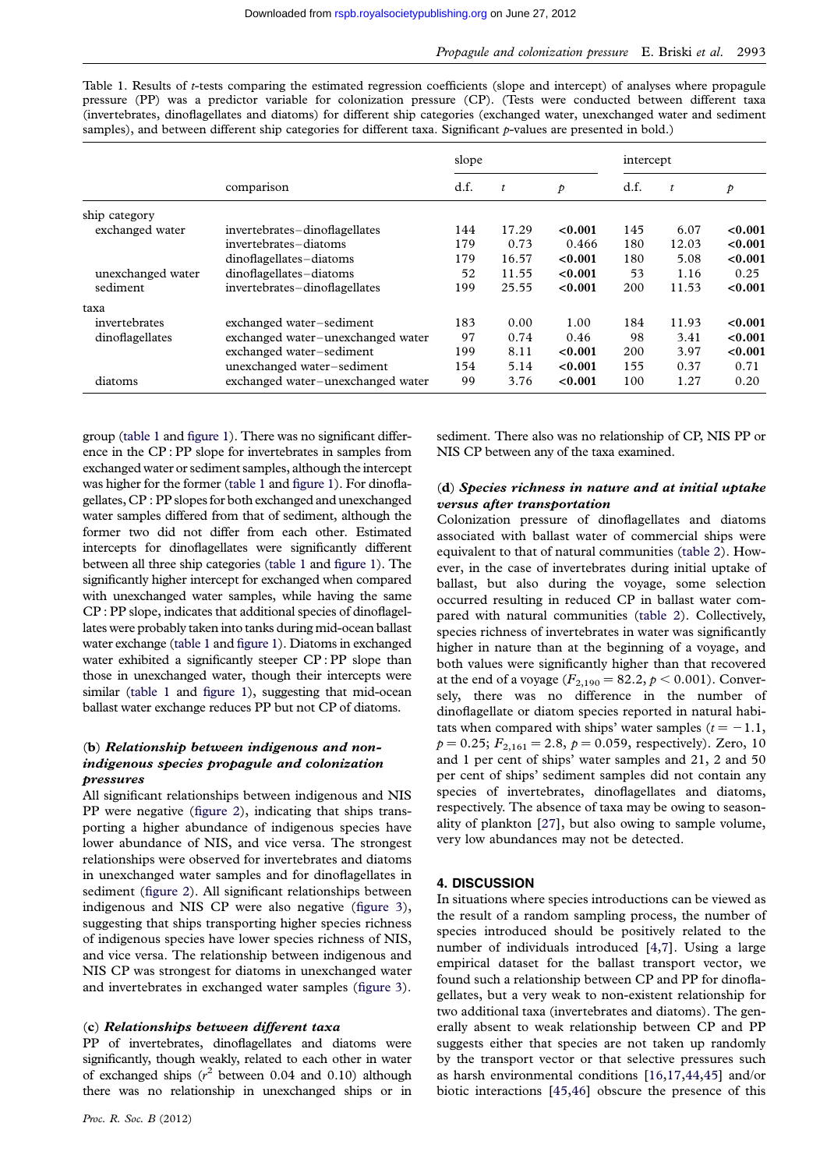<span id="page-3-0"></span>Table 1. Results of *t*-tests comparing the estimated regression coefficients (slope and intercept) of analyses where propagule pressure (PP) was a predictor variable for colonization pressure (CP). (Tests were conducted between different taxa (invertebrates, dinoflagellates and diatoms) for different ship categories (exchanged water, unexchanged water and sediment samples), and between different ship categories for different taxa. Significant p-values are presented in bold.)

|                   |                                   | slope |       |               | intercept |                  |               |
|-------------------|-----------------------------------|-------|-------|---------------|-----------|------------------|---------------|
|                   | comparison                        | d.f.  | t     | $\mathcal{P}$ | d.f.      | $\boldsymbol{t}$ | $\mathcal{P}$ |
| ship category     |                                   |       |       |               |           |                  |               |
| exchanged water   | invertebrates-dinoflagellates     | 144   | 17.29 | < 0.001       | 145       | 6.07             | < 0.001       |
|                   | invertebrates-diatoms             | 179   | 0.73  | 0.466         | 180       | 12.03            | < 0.001       |
|                   | dinoflagellates-diatoms           | 179   | 16.57 | < 0.001       | 180       | 5.08             | < 0.001       |
| unexchanged water | dinoflagellates-diatoms           | 52    | 11.55 | < 0.001       | 53        | 1.16             | 0.25          |
| sediment          | invertebrates-dinoflagellates     | 199   | 25.55 | < 0.001       | 200       | 11.53            | < 0.001       |
| taxa              |                                   |       |       |               |           |                  |               |
| invertebrates     | exchanged water-sediment          | 183   | 0.00  | 1.00          | 184       | 11.93            | < 0.001       |
| dinoflagellates   | exchanged water-unexchanged water | 97    | 0.74  | 0.46          | 98        | 3.41             | < 0.001       |
|                   | exchanged water-sediment          | 199   | 8.11  | < 0.001       | 200       | 3.97             | < 0.001       |
|                   | unexchanged water-sediment        | 154   | 5.14  | < 0.001       | 155       | 0.37             | 0.71          |
| diatoms           | exchanged water-unexchanged water | 99    | 3.76  | < 0.001       | 100       | 1.27             | 0.20          |

group (table 1 and [figure 1](#page-2-0)). There was no significant difference in the CP : PP slope for invertebrates in samples from exchanged water or sediment samples, although the intercept was higher for the former (table 1 and [figure 1\)](#page-2-0). For dinoflagellates, CP : PP slopes for both exchanged and unexchanged water samples differed from that of sediment, although the former two did not differ from each other. Estimated intercepts for dinoflagellates were significantly different between all three ship categories (table 1 and [figure 1](#page-2-0)). The significantly higher intercept for exchanged when compared with unexchanged water samples, while having the same CP : PP slope, indicates that additional species of dinoflagellates were probably taken into tanks during mid-ocean ballast water exchange (table 1 and [figure 1](#page-2-0)). Diatoms in exchanged water exhibited a significantly steeper CP : PP slope than those in unexchanged water, though their intercepts were similar (table 1 and [figure 1](#page-2-0)), suggesting that mid-ocean ballast water exchange reduces PP but not CP of diatoms.

## (b) Relationship between indigenous and nonindigenous species propagule and colonization pressures

All significant relationships between indigenous and NIS PP were negative ([figure 2\)](#page-4-0), indicating that ships transporting a higher abundance of indigenous species have lower abundance of NIS, and vice versa. The strongest relationships were observed for invertebrates and diatoms in unexchanged water samples and for dinoflagellates in sediment [\(figure 2\)](#page-4-0). All significant relationships between indigenous and NIS CP were also negative [\(figure 3](#page-5-0)), suggesting that ships transporting higher species richness of indigenous species have lower species richness of NIS, and vice versa. The relationship between indigenous and NIS CP was strongest for diatoms in unexchanged water and invertebrates in exchanged water samples [\(figure 3\)](#page-5-0).

#### (c) Relationships between different taxa

PP of invertebrates, dinoflagellates and diatoms were significantly, though weakly, related to each other in water of exchanged ships  $(r^2$  between 0.04 and 0.10) although there was no relationship in unexchanged ships or in sediment. There also was no relationship of CP, NIS PP or NIS CP between any of the taxa examined.

## (d) Species richness in nature and at initial uptake versus after transportation

Colonization pressure of dinoflagellates and diatoms associated with ballast water of commercial ships were equivalent to that of natural communities [\(table 2](#page-5-0)). However, in the case of invertebrates during initial uptake of ballast, but also during the voyage, some selection occurred resulting in reduced CP in ballast water compared with natural communities [\(table 2](#page-5-0)). Collectively, species richness of invertebrates in water was significantly higher in nature than at the beginning of a voyage, and both values were significantly higher than that recovered at the end of a voyage  $(F_{2,190} = 82.2, p < 0.001)$ . Conversely, there was no difference in the number of dinoflagellate or diatom species reported in natural habitats when compared with ships' water samples  $(t = -1.1,$  $p = 0.25$ ;  $F_{2,161} = 2.8$ ,  $p = 0.059$ , respectively). Zero, 10 and 1 per cent of ships' water samples and 21, 2 and 50 per cent of ships' sediment samples did not contain any species of invertebrates, dinoflagellates and diatoms, respectively. The absence of taxa may be owing to seasonality of plankton [[27](#page-7-0)], but also owing to sample volume, very low abundances may not be detected.

#### 4. DISCUSSION

In situations where species introductions can be viewed as the result of a random sampling process, the number of species introduced should be positively related to the number of individuals introduced [\[4,7\]](#page-6-0). Using a large empirical dataset for the ballast transport vector, we found such a relationship between CP and PP for dinoflagellates, but a very weak to non-existent relationship for two additional taxa (invertebrates and diatoms). The generally absent to weak relationship between CP and PP suggests either that species are not taken up randomly by the transport vector or that selective pressures such as harsh environmental conditions [[16,17,](#page-6-0)[44,45](#page-7-0)] and/or biotic interactions [\[45,46](#page-7-0)] obscure the presence of this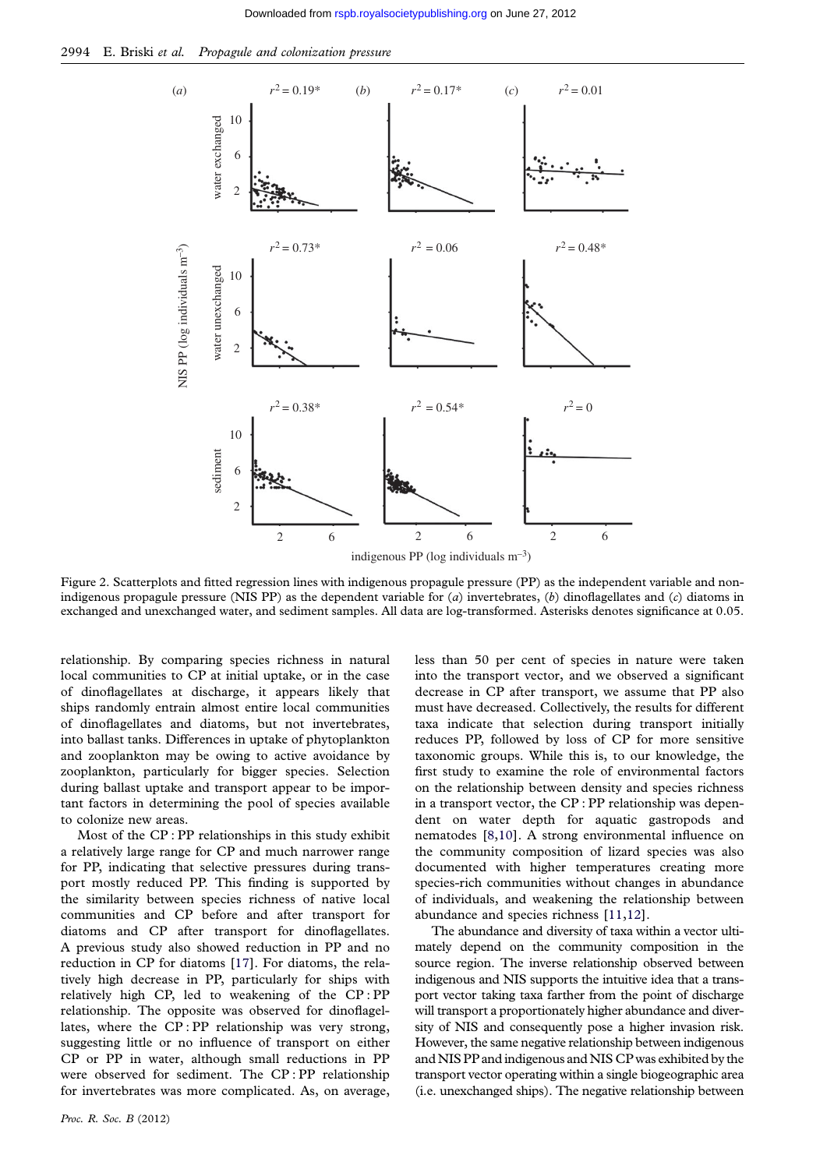<span id="page-4-0"></span>



Figure 2. Scatterplots and fitted regression lines with indigenous propagule pressure (PP) as the independent variable and nonindigenous propagule pressure (NIS PP) as the dependent variable for (a) invertebrates, (b) dinoflagellates and (c) diatoms in exchanged and unexchanged water, and sediment samples. All data are log-transformed. Asterisks denotes significance at 0.05.

relationship. By comparing species richness in natural local communities to CP at initial uptake, or in the case of dinoflagellates at discharge, it appears likely that ships randomly entrain almost entire local communities of dinoflagellates and diatoms, but not invertebrates, into ballast tanks. Differences in uptake of phytoplankton and zooplankton may be owing to active avoidance by zooplankton, particularly for bigger species. Selection during ballast uptake and transport appear to be important factors in determining the pool of species available to colonize new areas.

Most of the CP : PP relationships in this study exhibit a relatively large range for CP and much narrower range for PP, indicating that selective pressures during transport mostly reduced PP. This finding is supported by the similarity between species richness of native local communities and CP before and after transport for diatoms and CP after transport for dinoflagellates. A previous study also showed reduction in PP and no reduction in CP for diatoms [\[17\]](#page-6-0). For diatoms, the relatively high decrease in PP, particularly for ships with relatively high CP, led to weakening of the CP : PP relationship. The opposite was observed for dinoflagellates, where the CP : PP relationship was very strong, suggesting little or no influence of transport on either CP or PP in water, although small reductions in PP were observed for sediment. The CP : PP relationship for invertebrates was more complicated. As, on average,

Proc. R. Soc. B (2012)

less than 50 per cent of species in nature were taken into the transport vector, and we observed a significant decrease in CP after transport, we assume that PP also must have decreased. Collectively, the results for different taxa indicate that selection during transport initially reduces PP, followed by loss of CP for more sensitive taxonomic groups. While this is, to our knowledge, the first study to examine the role of environmental factors on the relationship between density and species richness in a transport vector, the CP : PP relationship was dependent on water depth for aquatic gastropods and nematodes [[8](#page-6-0),[10](#page-6-0)]. A strong environmental influence on the community composition of lizard species was also documented with higher temperatures creating more species-rich communities without changes in abundance of individuals, and weakening the relationship between abundance and species richness [[11,12\]](#page-6-0).

The abundance and diversity of taxa within a vector ultimately depend on the community composition in the source region. The inverse relationship observed between indigenous and NIS supports the intuitive idea that a transport vector taking taxa farther from the point of discharge will transport a proportionately higher abundance and diversity of NIS and consequently pose a higher invasion risk. However, the same negative relationship between indigenous and NIS PP and indigenous and NIS CP was exhibited by the transport vector operating within a single biogeographic area (i.e. unexchanged ships). The negative relationship between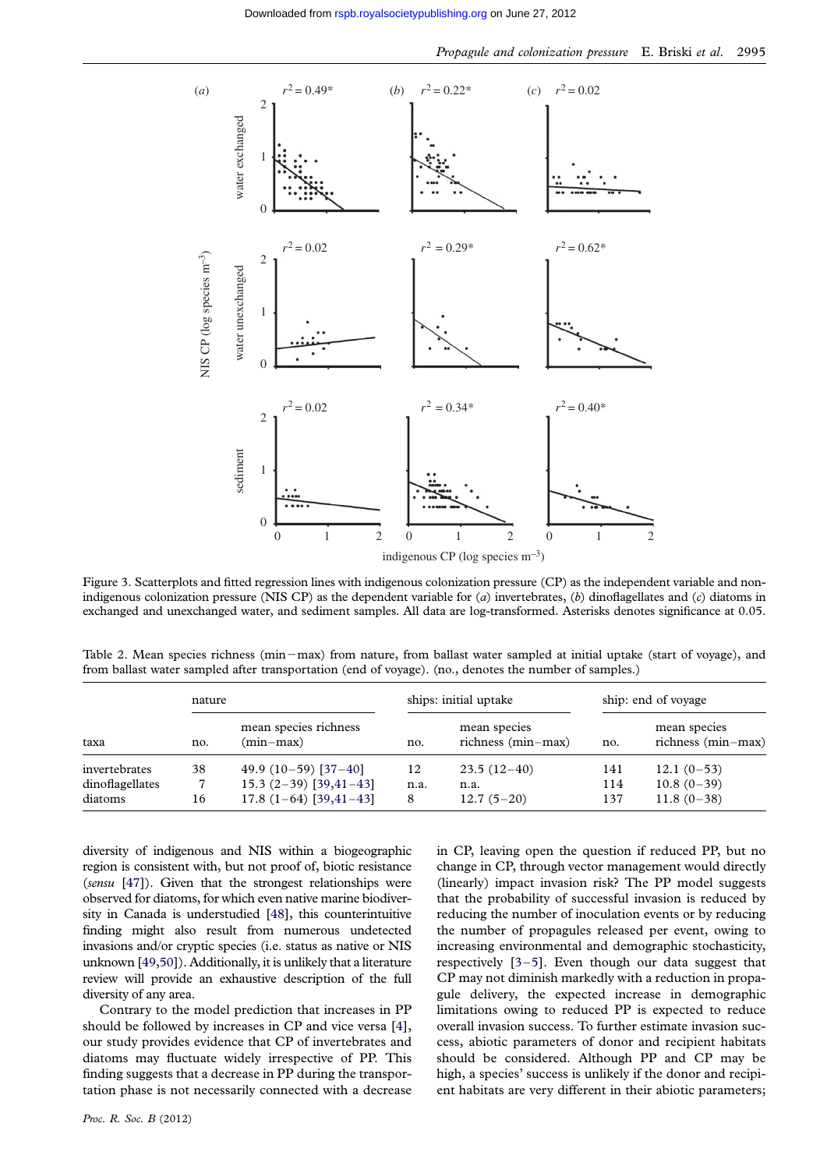<span id="page-5-0"></span>

Figure 3. Scatterplots and fitted regression lines with indigenous colonization pressure (CP) as the independent variable and nonindigenous colonization pressure (NIS CP) as the dependent variable for  $(a)$  invertebrates,  $(b)$  dinoflagellates and  $(c)$  diatoms in exchanged and unexchanged water, and sediment samples. All data are log-transformed. Asterisks denotes significance at 0.05.

Table 2. Mean species richness (min-max) from nature, from ballast water sampled at initial uptake (start of voyage), and from ballast water sampled after transportation (end of voyage). (no., denotes the number of samples.)

| taxa            | nature |                                      |      | ships: initial uptake              | ship: end of voyage |                                    |  |
|-----------------|--------|--------------------------------------|------|------------------------------------|---------------------|------------------------------------|--|
|                 | no.    | mean species richness<br>$(min-max)$ | no.  | mean species<br>richness (min-max) | no.                 | mean species<br>richness (min-max) |  |
| invertebrates   | 38     | $49.9(10-59)[37-40]$                 | 12   | $23.5(12-40)$                      | 141                 | $12.1(0-53)$                       |  |
| dinoflagellates |        | 15.3 $(2-39)$ [39,41-43]             | n.a. | n.a.                               | 114                 | $10.8(0-39)$                       |  |
| diatoms         | 16     | 17.8 $(1-64)$ [39,41-43]             | 8    | $12.7(5-20)$                       | 137                 | $11.8(0-38)$                       |  |

diversity of indigenous and NIS within a biogeographic region is consistent with, but not proof of, biotic resistance (sensu [[47\]](#page-7-0)). Given that the strongest relationships were observed for diatoms, for which even native marine biodiversity in Canada is understudied [[48\]](#page-7-0), this counterintuitive finding might also result from numerous undetected invasions and/or cryptic species (i.e. status as native or NIS unknown [\[49,50](#page-7-0)]). Additionally, it is unlikely that a literature review will provide an exhaustive description of the full diversity of any area.

Contrary to the model prediction that increases in PP should be followed by increases in CP and vice versa [[4](#page-6-0)], our study provides evidence that CP of invertebrates and diatoms may fluctuate widely irrespective of PP. This finding suggests that a decrease in PP during the transportation phase is not necessarily connected with a decrease in CP, leaving open the question if reduced PP, but no change in CP, through vector management would directly (linearly) impact invasion risk? The PP model suggests that the probability of successful invasion is reduced by reducing the number of inoculation events or by reducing the number of propagules released per event, owing to increasing environmental and demographic stochasticity, respectively [[3](#page-6-0)–[5\]](#page-6-0). Even though our data suggest that CP may not diminish markedly with a reduction in propagule delivery, the expected increase in demographic limitations owing to reduced PP is expected to reduce overall invasion success. To further estimate invasion success, abiotic parameters of donor and recipient habitats should be considered. Although PP and CP may be high, a species' success is unlikely if the donor and recipient habitats are very different in their abiotic parameters;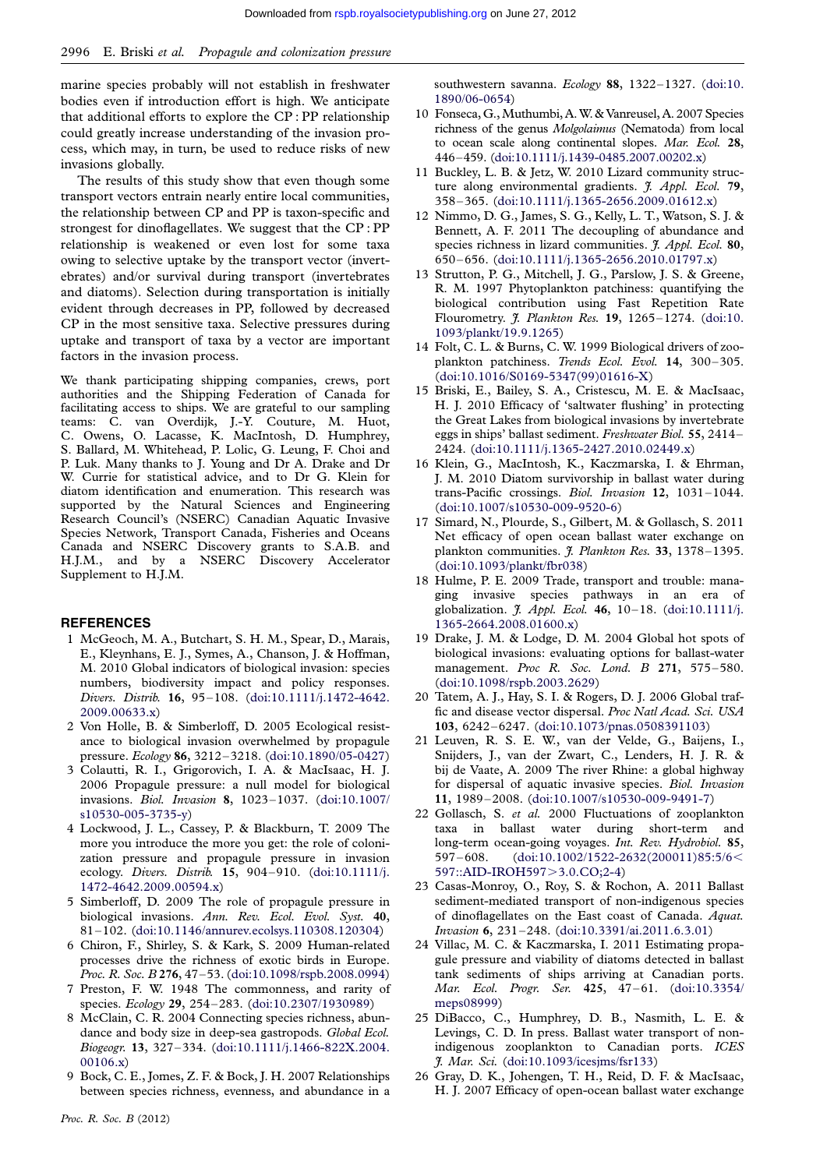<span id="page-6-0"></span>marine species probably will not establish in freshwater bodies even if introduction effort is high. We anticipate that additional efforts to explore the CP : PP relationship could greatly increase understanding of the invasion process, which may, in turn, be used to reduce risks of new invasions globally.

The results of this study show that even though some transport vectors entrain nearly entire local communities, the relationship between CP and PP is taxon-specific and strongest for dinoflagellates. We suggest that the CP : PP relationship is weakened or even lost for some taxa owing to selective uptake by the transport vector (invertebrates) and/or survival during transport (invertebrates and diatoms). Selection during transportation is initially evident through decreases in PP, followed by decreased CP in the most sensitive taxa. Selective pressures during uptake and transport of taxa by a vector are important factors in the invasion process.

We thank participating shipping companies, crews, port authorities and the Shipping Federation of Canada for facilitating access to ships. We are grateful to our sampling teams: C. van Overdijk, J.-Y. Couture, M. Huot, C. Owens, O. Lacasse, K. MacIntosh, D. Humphrey, S. Ballard, M. Whitehead, P. Lolic, G. Leung, F. Choi and P. Luk. Many thanks to J. Young and Dr A. Drake and Dr W. Currie for statistical advice, and to Dr G. Klein for diatom identification and enumeration. This research was supported by the Natural Sciences and Engineering Research Council's (NSERC) Canadian Aquatic Invasive Species Network, Transport Canada, Fisheries and Oceans Canada and NSERC Discovery grants to S.A.B. and H.J.M., and by a NSERC Discovery Accelerator Supplement to H.J.M.

#### **REFERENCES**

- 1 McGeoch, M. A., Butchart, S. H. M., Spear, D., Marais, E., Kleynhans, E. J., Symes, A., Chanson, J. & Hoffman, M. 2010 Global indicators of biological invasion: species numbers, biodiversity impact and policy responses. Divers. Distrib. 16, 95–108. [\(doi:10.1111/j.1472-4642.](http://dx.doi.org/10.1111/j.1472-4642.2009.00633.x) [2009.00633.x](http://dx.doi.org/10.1111/j.1472-4642.2009.00633.x))
- 2 Von Holle, B. & Simberloff, D. 2005 Ecological resistance to biological invasion overwhelmed by propagule pressure. Ecology 86, 3212 –3218. [\(doi:10.1890/05-0427](http://dx.doi.org/10.1890/05-0427))
- 3 Colautti, R. I., Grigorovich, I. A. & MacIsaac, H. J. 2006 Propagule pressure: a null model for biological invasions. Biol. Invasion 8, 1023–1037. ([doi:10.1007/](http://dx.doi.org/10.1007/s10530-005-3735-y) [s10530-005-3735-y\)](http://dx.doi.org/10.1007/s10530-005-3735-y)
- 4 Lockwood, J. L., Cassey, P. & Blackburn, T. 2009 The more you introduce the more you get: the role of colonization pressure and propagule pressure in invasion ecology. Divers. Distrib. 15, 904-910. ([doi:10.1111/j.](http://dx.doi.org/10.1111/j.1472-4642.2009.00594.x) [1472-4642.2009.00594.x\)](http://dx.doi.org/10.1111/j.1472-4642.2009.00594.x)
- 5 Simberloff, D. 2009 The role of propagule pressure in biological invasions. Ann. Rev. Ecol. Evol. Syst. 40, 81–102. ([doi:10.1146/annurev.ecolsys.110308.120304](http://dx.doi.org/10.1146/annurev.ecolsys.110308.120304))
- 6 Chiron, F., Shirley, S. & Kark, S. 2009 Human-related processes drive the richness of exotic birds in Europe. Proc. R. Soc. B 276, 47-53. ([doi:10.1098/rspb.2008.0994](http://dx.doi.org/10.1098/rspb.2008.0994))
- 7 Preston, F. W. 1948 The commonness, and rarity of species. Ecology 29, 254–283. ([doi:10.2307/1930989](http://dx.doi.org/10.2307/1930989))
- 8 McClain, C. R. 2004 Connecting species richness, abundance and body size in deep-sea gastropods. Global Ecol. Biogeogr. 13, 327–334. ([doi:10.1111/j.1466-822X.2004.](http://dx.doi.org/10.1111/j.1466-822X.2004.00106.x) [00106.x\)](http://dx.doi.org/10.1111/j.1466-822X.2004.00106.x)
- 9 Bock, C. E., Jomes, Z. F. & Bock, J. H. 2007 Relationships between species richness, evenness, and abundance in a

southwestern savanna. Ecology 88, 1322-1327. [\(doi:10.](http://dx.doi.org/10.1890/06-0654) [1890/06-0654\)](http://dx.doi.org/10.1890/06-0654)

- 10 Fonseca, G.,Muthumbi, A.W. & Vanreusel, A. 2007 Species richness of the genus Molgolaimus (Nematoda) from local to ocean scale along continental slopes. Mar. Ecol. 28, 446–459. [\(doi:10.1111/j.1439-0485.2007.00202.x](http://dx.doi.org/10.1111/j.1439-0485.2007.00202.x))
- 11 Buckley, L. B. & Jetz, W. 2010 Lizard community structure along environmental gradients.  $\hat{f}$ . Appl. Ecol. 79, 358 –365. [\(doi:10.1111/j.1365-2656.2009.01612.x](http://dx.doi.org/10.1111/j.1365-2656.2009.01612.x))
- 12 Nimmo, D. G., James, S. G., Kelly, L. T., Watson, S. J. & Bennett, A. F. 2011 The decoupling of abundance and species richness in lizard communities. *J. Appl. Ecol.* 80, 650 –656. [\(doi:10.1111/j.1365-2656.2010.01797.x](http://dx.doi.org/10.1111/j.1365-2656.2010.01797.x))
- 13 Strutton, P. G., Mitchell, J. G., Parslow, J. S. & Greene, R. M. 1997 Phytoplankton patchiness: quantifying the biological contribution using Fast Repetition Rate Flourometry. *J. Plankton Res.* 19, 1265-1274. [\(doi:10.](http://dx.doi.org/10.1093/plankt/19.9.1265) [1093/plankt/19.9.1265\)](http://dx.doi.org/10.1093/plankt/19.9.1265)
- 14 Folt, C. L. & Burns, C. W. 1999 Biological drivers of zooplankton patchiness. Trends Ecol. Evol. 14, 300-305. ([doi:10.1016/S0169-5347\(99\)01616-X\)](http://dx.doi.org/10.1016/S0169-5347(99)01616-X)
- 15 Briski, E., Bailey, S. A., Cristescu, M. E. & MacIsaac, H. J. 2010 Efficacy of 'saltwater flushing' in protecting the Great Lakes from biological invasions by invertebrate eggs in ships' ballast sediment. Freshwater Biol. 55, 2414– 2424. [\(doi:10.1111/j.1365-2427.2010.02449.x](http://dx.doi.org/10.1111/j.1365-2427.2010.02449.x))
- 16 Klein, G., MacIntosh, K., Kaczmarska, I. & Ehrman, J. M. 2010 Diatom survivorship in ballast water during trans-Pacific crossings. Biol. Invasion 12, 1031–1044. ([doi:10.1007/s10530-009-9520-6\)](http://dx.doi.org/10.1007/s10530-009-9520-6)
- 17 Simard, N., Plourde, S., Gilbert, M. & Gollasch, S. 2011 Net efficacy of open ocean ballast water exchange on plankton communities. *J. Plankton Res.* 33, 1378-1395. ([doi:10.1093/plankt/fbr038\)](http://dx.doi.org/10.1093/plankt/fbr038)
- 18 Hulme, P. E. 2009 Trade, transport and trouble: managing invasive species pathways in an era of globalization.  $\tilde{J}$ . Appl. Ecol. 46, 10-18. ([doi:10.1111/j.](http://dx.doi.org/10.1111/j.1365-2664.2008.01600.x) [1365-2664.2008.01600.x](http://dx.doi.org/10.1111/j.1365-2664.2008.01600.x))
- 19 Drake, J. M. & Lodge, D. M. 2004 Global hot spots of biological invasions: evaluating options for ballast-water management. Proc R. Soc. Lond. B 271, 575-580. ([doi:10.1098/rspb.2003.2629](http://dx.doi.org/10.1098/rspb.2003.2629))
- 20 Tatem, A. J., Hay, S. I. & Rogers, D. J. 2006 Global traffic and disease vector dispersal. Proc Natl Acad. Sci. USA 103, 6242–6247. ([doi:10.1073/pnas.0508391103](http://dx.doi.org/10.1073/pnas.0508391103))
- 21 Leuven, R. S. E. W., van der Velde, G., Baijens, I., Snijders, J., van der Zwart, C., Lenders, H. J. R. & bij de Vaate, A. 2009 The river Rhine: a global highway for dispersal of aquatic invasive species. Biol. Invasion 11, 1989 –2008. [\(doi:10.1007/s10530-009-9491-7](http://dx.doi.org/10.1007/s10530-009-9491-7))
- 22 Gollasch, S. et al. 2000 Fluctuations of zooplankton taxa in ballast water during short-term and long-term ocean-going voyages. Int. Rev. Hydrobiol. 85, 597-608. ([doi:10.1002/1522-2632\(200011\)85:5/6](http://dx.doi.org/10.1002/1522-2632(200011)85:5/6%3C597::AID-IROH597%3E3.0.CO;2-4)< [597::AID-IROH597](http://dx.doi.org/10.1002/1522-2632(200011)85:5/6%3C597::AID-IROH597%3E3.0.CO;2-4)>[3.0.CO;2-4](http://dx.doi.org/10.1002/1522-2632(200011)85:5/6%3C597::AID-IROH597%3E3.0.CO;2-4))
- 23 Casas-Monroy, O., Roy, S. & Rochon, A. 2011 Ballast sediment-mediated transport of non-indigenous species of dinoflagellates on the East coast of Canada. Aquat. Invasion 6, 231 –248. [\(doi:10.3391/ai.2011.6.3.01](http://dx.doi.org/10.3391/ai.2011.6.3.01))
- 24 Villac, M. C. & Kaczmarska, I. 2011 Estimating propagule pressure and viability of diatoms detected in ballast tank sediments of ships arriving at Canadian ports. Mar. Ecol. Progr. Ser. 425, 47–61. ([doi:10.3354/](http://dx.doi.org/10.3354/meps08999) [meps08999\)](http://dx.doi.org/10.3354/meps08999)
- 25 DiBacco, C., Humphrey, D. B., Nasmith, L. E. & Levings, C. D. In press. Ballast water transport of nonindigenous zooplankton to Canadian ports. ICES J. Mar. Sci. [\(doi:10.1093/icesjms/fsr133\)](http://dx.doi.org/10.1093/icesjms/fsr133)
- 26 Gray, D. K., Johengen, T. H., Reid, D. F. & MacIsaac, H. J. 2007 Efficacy of open-ocean ballast water exchange